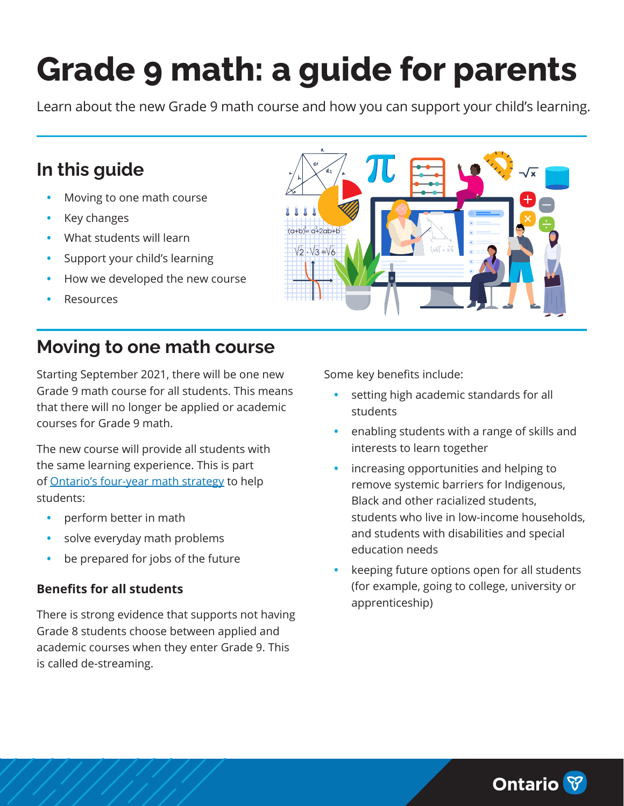# **Grade 9 math: a guide for parents**

Learn about the new Grade 9 math course and how you can support your child's learning.

# **In this guide**

- **•** Moving to one math course
- **•** [Key changes](#page-1-0)
- **•** [What students will learn](#page-3-0)
- **•** [Support your child's learning](#page-4-0)
- **•** [How we developed the new course](#page-4-0)
- **•** [Resources](#page-4-0)

# **Moving to one math course**

Starting September 2021, there will be one new Grade 9 math course for all students. This means that there will no longer be applied or academic courses for Grade 9 math.

The new course will provide all students with the same learning experience. This is part of [Ontario's four-year math strategy](https://news.ontario.ca/en/release/53479/first-year-investment-of-ontarios-four-year-math-strategy-announced) to help students:

- **•** perform better in math
- **•** solve everyday math problems
- **•** be prepared for jobs of the future

#### **Benefits for all students**

There is strong evidence that supports not having Grade 8 students choose between applied and academic courses when they enter Grade 9. This is called de-streaming.

Some key benefits include:

- **•** setting high academic standards for all students
- **•** enabling students with a range of skills and interests to learn together
- **•** increasing opportunities and helping to remove systemic barriers for Indigenous, Black and other racialized students, students who live in low-income households, and students with disabilities and special education needs
- **•** keeping future options open for all students (for example, going to college, university or apprenticeship)



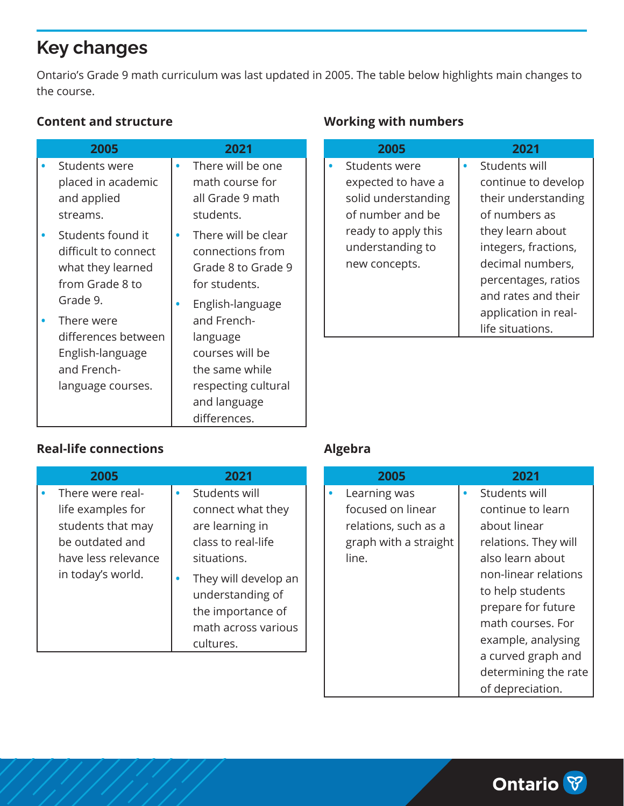# <span id="page-1-0"></span>**Key changes**

Ontario's Grade 9 math curriculum was last updated in 2005. The table below highlights main changes to the course.

#### **Content and structure**

| 2005                                                                                                  | 2021                                                                                                                                    |
|-------------------------------------------------------------------------------------------------------|-----------------------------------------------------------------------------------------------------------------------------------------|
| Students were<br>placed in academic<br>and applied<br>streams.                                        | There will be one<br>math course for<br>all Grade 9 math<br>students.                                                                   |
| Students found it<br>difficult to connect<br>what they learned<br>from Grade 8 to                     | There will be clear<br>connections from<br>Grade 8 to Grade 9<br>for students.                                                          |
| Grade 9.<br>There were<br>differences between<br>English-language<br>and French-<br>language courses. | English-language<br>and French-<br>language<br>courses will be<br>the same while<br>respecting cultural<br>and language<br>differences. |

## **Working with numbers**

| 2005                | 2021                 |
|---------------------|----------------------|
| Students were       | Students will        |
| expected to have a  | continue to develop  |
| solid understanding | their understanding  |
| of number and be    | of numbers as        |
| ready to apply this | they learn about     |
| understanding to    | integers, fractions, |
| new concepts.       | decimal numbers,     |
|                     | percentages, ratios  |
|                     | and rates and their  |
|                     | application in real- |
|                     | life situations.     |

#### **Real-life connections**

| 2005                | 2021                 |
|---------------------|----------------------|
| There were real-    | Students will        |
| life examples for   | connect what they    |
| students that may   | are learning in      |
| be outdated and     | class to real-life   |
| have less relevance | situations.          |
| in today's world.   | They will develop an |
|                     | understanding of     |
|                     | the importance of    |
|                     | math across various  |
|                     | cultures.            |

### **Algebra**

| 2005                                                                                        | 2021                                                                                                                                                                                                                                                      |
|---------------------------------------------------------------------------------------------|-----------------------------------------------------------------------------------------------------------------------------------------------------------------------------------------------------------------------------------------------------------|
| Learning was<br>focused on linear<br>relations, such as a<br>graph with a straight<br>line. | Students will<br>continue to learn<br>about linear<br>relations. They will<br>also learn about<br>non-linear relations<br>to help students<br>prepare for future<br>math courses. For<br>example, analysing<br>a curved graph and<br>determining the rate |
|                                                                                             | of depreciation.                                                                                                                                                                                                                                          |

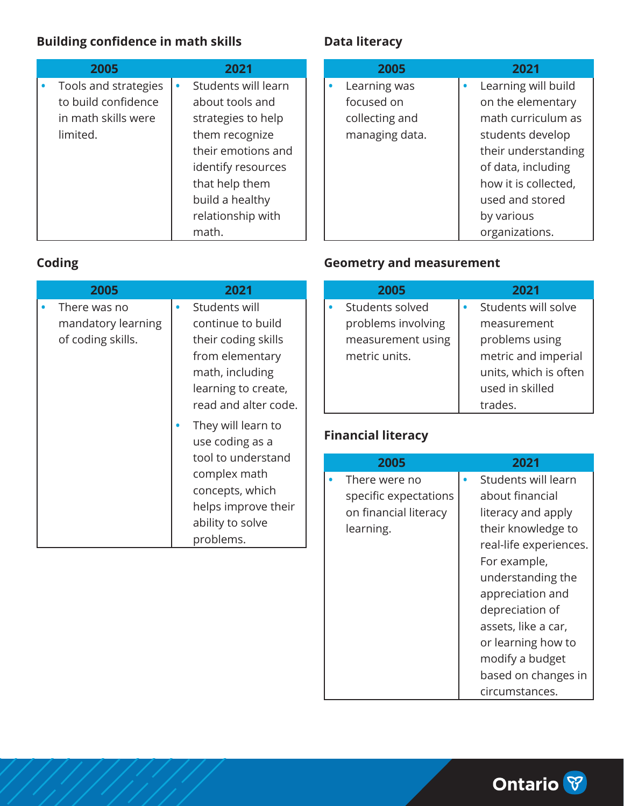## **Building confidence in math skills**

| 2005                 | 2021                |
|----------------------|---------------------|
| Tools and strategies | Students will learn |
| to build confidence  | about tools and     |
| in math skills were  | strategies to help  |
| limited.             | them recognize      |
|                      | their emotions and  |
|                      | identify resources  |
|                      | that help them      |
|                      | build a healthy     |
|                      | relationship with   |
|                      | math.               |

## **Data literacy**

| 2005           | 2021                 |
|----------------|----------------------|
| Learning was   | Learning will build  |
| focused on     | on the elementary    |
| collecting and | math curriculum as   |
| managing data. | students develop     |
|                | their understanding  |
|                | of data, including   |
|                | how it is collected, |
|                | used and stored      |
|                | by various           |
|                | organizations.       |

### **Coding**

| 2005                                                    | 2021                                                                                                                                           |
|---------------------------------------------------------|------------------------------------------------------------------------------------------------------------------------------------------------|
| There was no<br>mandatory learning<br>of coding skills. | Students will<br>continue to build<br>their coding skills<br>from elementary<br>math, including<br>learning to create,<br>read and alter code. |
|                                                         | They will learn to<br>use coding as a<br>tool to understand<br>complex math                                                                    |
|                                                         | concepts, which<br>helps improve their<br>ability to solve<br>problems.                                                                        |

#### **Geometry and measurement**

| 2005               | 2021                  |
|--------------------|-----------------------|
| Students solved    | Students will solve   |
| problems involving | measurement           |
| measurement using  | problems using        |
| metric units.      | metric and imperial   |
|                    | units, which is often |
|                    | used in skilled       |
|                    | trades.               |

## **Financial literacy**

| 2005                  | 2021                   |
|-----------------------|------------------------|
| There were no         | Students will learn    |
| specific expectations | about financial        |
| on financial literacy | literacy and apply     |
| learning.             | their knowledge to     |
|                       | real-life experiences. |
|                       | For example,           |
|                       | understanding the      |
|                       | appreciation and       |
|                       | depreciation of        |
|                       | assets, like a car,    |
|                       | or learning how to     |
|                       | modify a budget        |
|                       | based on changes in    |
|                       | circumstances.         |

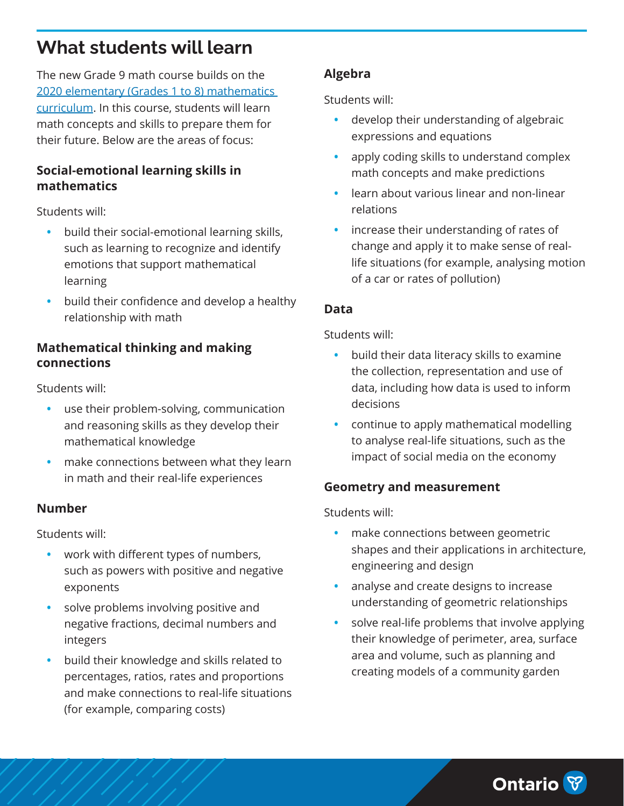# <span id="page-3-0"></span>**What students will learn**

The new Grade 9 math course builds on the [2020 elementary \(Grades 1 to 8\) mathematics](https://www.dcp.edu.gov.on.ca/en/curriculum/elementary-mathematics)  [curriculum.](https://www.dcp.edu.gov.on.ca/en/curriculum/elementary-mathematics) In this course, students will learn math concepts and skills to prepare them for their future. Below are the areas of focus:

#### **Social-emotional learning skills in mathematics**

Students will:

- **•** build their social-emotional learning skills, such as learning to recognize and identify emotions that support mathematical learning
- **•** build their confidence and develop a healthy relationship with math

#### **Mathematical thinking and making connections**

Students will:

- **•** use their problem-solving, communication and reasoning skills as they develop their mathematical knowledge
- **•** make connections between what they learn in math and their real-life experiences

### **Number**

Students will:

- **•** work with different types of numbers, such as powers with positive and negative exponents
- **•** solve problems involving positive and negative fractions, decimal numbers and integers
- **•** build their knowledge and skills related to percentages, ratios, rates and proportions and make connections to real-life situations (for example, comparing costs)

## **Algebra**

Students will:

- **•** develop their understanding of algebraic expressions and equations
- **•** apply coding skills to understand complex math concepts and make predictions
- **•** learn about various linear and non-linear relations
- **•** increase their understanding of rates of change and apply it to make sense of reallife situations (for example, analysing motion of a car or rates of pollution)

## **Data**

Students will:

- **•** build their data literacy skills to examine the collection, representation and use of data, including how data is used to inform decisions
- **•** continue to apply mathematical modelling to analyse real-life situations, such as the impact of social media on the economy

### **Geometry and measurement**

Students will:

- **•** make connections between geometric shapes and their applications in architecture, engineering and design
- **•** analyse and create designs to increase understanding of geometric relationships
- **•** solve real-life problems that involve applying their knowledge of perimeter, area, surface area and volume, such as planning and creating models of a community garden